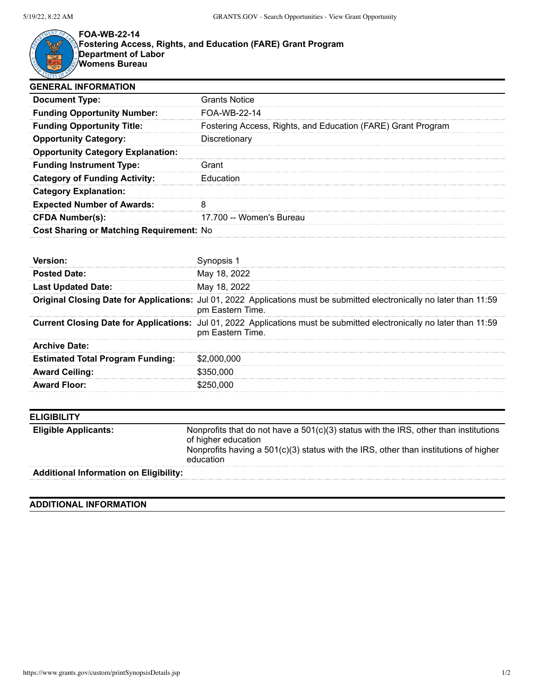

**FOA-WB-22-14 Fostering Access, Rights, and Education (FARE) Grant Program Department of Labor**

**Womens Bureau**

| <b>Grants Notice</b>                                         |
|--------------------------------------------------------------|
| FOA-WB-22-14                                                 |
| Fostering Access, Rights, and Education (FARE) Grant Program |
| Discretionary                                                |
|                                                              |
| Grant                                                        |
| Education                                                    |
|                                                              |
|                                                              |
| 17.700 -- Women's Bureau                                     |
| <b>Cost Sharing or Matching Requirement: No</b>              |
|                                                              |

| <b>Posted Date:</b>                     | May 18, 2022                                                                                                                               |
|-----------------------------------------|--------------------------------------------------------------------------------------------------------------------------------------------|
| <b>Last Updated Date:</b>               | May 18, 2022                                                                                                                               |
|                                         | Original Closing Date for Applications: Jul 01, 2022 Applications must be submitted electronically no later than 11:59<br>pm Eastern Time. |
|                                         | Current Closing Date for Applications: Jul 01, 2022 Applications must be submitted electronically no later than 11:59<br>pm Eastern Time.  |
| <b>Archive Date:</b>                    |                                                                                                                                            |
| <b>Estimated Total Program Funding:</b> | \$2,000,000                                                                                                                                |
| <b>Award Ceiling:</b>                   | \$350,000                                                                                                                                  |
| <b>Award Floor:</b>                     | \$250,000                                                                                                                                  |

| <b>ELIGIBILITY</b>                            |                                                                                                                                                                                                                    |
|-----------------------------------------------|--------------------------------------------------------------------------------------------------------------------------------------------------------------------------------------------------------------------|
| <b>Eligible Applicants:</b>                   | Nonprofits that do not have a 501(c)(3) status with the IRS, other than institutions<br>of higher education<br>Nonprofits having a $501(c)(3)$ status with the IRS, other than institutions of higher<br>education |
| <b>Additional Information on Eligibility:</b> |                                                                                                                                                                                                                    |

## **ADDITIONAL INFORMATION**